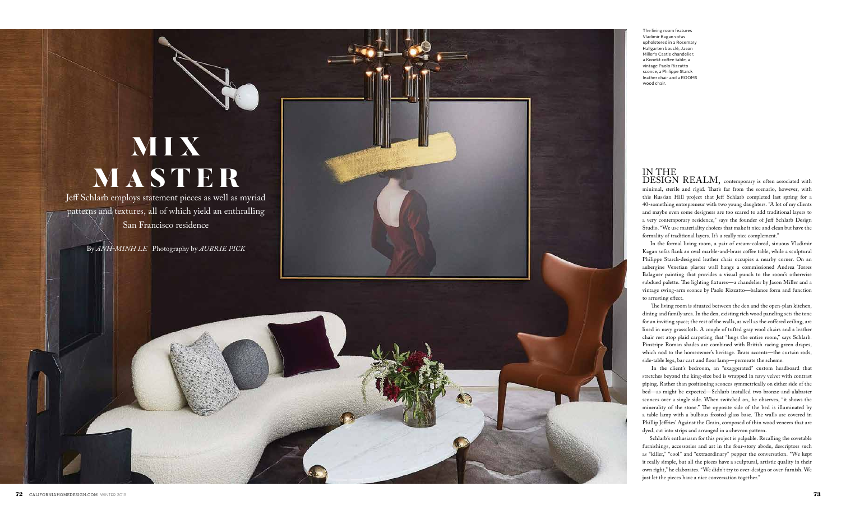## **MIX** MASTER

Jeff Schlarb employs statement pieces as well as myriad patterns and textures, all of which yield an enthralling San Francisco residence

By *ANH-MINH LE* Photography by *AUBRIE PICK*

 $72$  CALIFORNIAHOMEDESIGN.COM WINTER 2019 **73** 



The living room features Vladimir Kagan sofas upholstered in a Rosemary Hallgarten bouclé, Jason Miller's Castle chandelier, a Konekt coffee table, a vintage Paolo Rizzatto sconce, a Philippe Starck leather chair and a ROOMS wood chair.

## IN THE DESIGN REALM, contemporary is often associated with minimal, sterile and rigid. That's far from the scenario, however, with this Russian Hill project that Jeff Schlarb completed last spring for a 40-something entrepreneur with two young daughters. "A lot of my clients and maybe even some designers are too scared to add traditional layers to a very contemporary residence," says the founder of Jeff Schlarb Design Studio. "We use materiality choices that make it nice and clean but have the formality of traditional layers. It's a really nice complement."

 In the formal living room, a pair of cream-colored, sinuous Vladimir Kagan sofas flank an oval marble-and-brass coffee table, while a sculptural Philippe Starck-designed leather chair occupies a nearby corner. On an aubergine Venetian plaster wall hangs a commissioned Andrea Torres Balaguer painting that provides a visual punch to the room's otherwise subdued palette. The lighting fixtures—a chandelier by Jason Miller and a vintage swing-arm sconce by Paolo Rizzatto—balance form and function to arresting effect.

 The living room is situated between the den and the open-plan kitchen, dining and family area. In the den, existing rich wood paneling sets the tone for an inviting space; the rest of the walls, as well as the coffered ceiling, are lined in navy grasscloth. A couple of tufted gray wool chairs and a leather chair rest atop plaid carpeting that "hugs the entire room," says Schlarb. Pinstripe Roman shades are combined with British racing green drapes, which nod to the homeowner's heritage. Brass accents—the curtain rods, side-table legs, bar cart and floor lamp—permeate the scheme.

 In the client's bedroom, an "exaggerated" custom headboard that stretches beyond the king-size bed is wrapped in navy velvet with contrast piping. Rather than positioning sconces symmetrically on either side of the bed—as might be expected—Schlarb installed two bronze-and-alabaster sconces over a single side. When switched on, he observes, "it shows the minerality of the stone." The opposite side of the bed is illuminated by a table lamp with a bulbous frosted-glass base. The walls are covered in Phillip Jeffries' Against the Grain, composed of thin wood veneers that are dyed, cut into strips and arranged in a chevron pattern.

 Schlarb's enthusiasm for this project is palpable. Recalling the covetable furnishings, accessories and art in the four-story abode, descriptors such as "killer," "cool" and "extraordinary" pepper the conversation. "We kept it really simple, but all the pieces have a sculptural, artistic quality in their own right," he elaborates. "We didn't try to over-design or over-furnish. We just let the pieces have a nice conversation together."